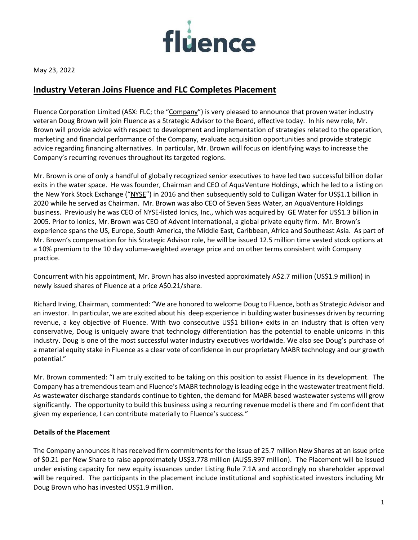

May 23, 2022

# **Industry Veteran Joins Fluence and FLC Completes Placement**

Fluence Corporation Limited (ASX: FLC; the "Company") is very pleased to announce that proven water industry veteran Doug Brown will join Fluence as a Strategic Advisor to the Board, effective today. In his new role, Mr. Brown will provide advice with respect to development and implementation of strategies related to the operation, marketing and financial performance of the Company, evaluate acquisition opportunities and provide strategic advice regarding financing alternatives. In particular, Mr. Brown will focus on identifying ways to increase the Company's recurring revenues throughout its targeted regions.

Mr. Brown is one of only a handful of globally recognized senior executives to have led two successful billion dollar exits in the water space. He was founder, Chairman and CEO of AquaVenture Holdings, which he led to a listing on the New York Stock Exchange ("NYSE") in 2016 and then subsequently sold to Culligan Water for US\$1.1 billion in 2020 while he served as Chairman. Mr. Brown was also CEO of Seven Seas Water, an AquaVenture Holdings business. Previously he was CEO of NYSE-listed Ionics, Inc., which was acquired by GE Water for US\$1.3 billion in 2005. Prior to Ionics, Mr. Brown was CEO of Advent International, a global private equity firm. Mr. Brown's experience spans the US, Europe, South America, the Middle East, Caribbean, Africa and Southeast Asia. As part of Mr. Brown's compensation for his Strategic Advisor role, he will be issued 12.5 million time vested stock options at a 10% premium to the 10 day volume-weighted average price and on other terms consistent with Company practice.

Concurrent with his appointment, Mr. Brown has also invested approximately A\$2.7 million (US\$1.9 million) in newly issued shares of Fluence at a price A\$0.21/share.

Richard Irving, Chairman, commented: "We are honored to welcome Doug to Fluence, both as Strategic Advisor and an investor. In particular, we are excited about his deep experience in building water businesses driven by recurring revenue, a key objective of Fluence. With two consecutive US\$1 billion+ exits in an industry that is often very conservative, Doug is uniquely aware that technology differentiation has the potential to enable unicorns in this industry. Doug is one of the most successful water industry executives worldwide. We also see Doug's purchase of a material equity stake in Fluence as a clear vote of confidence in our proprietary MABR technology and our growth potential."

Mr. Brown commented: "I am truly excited to be taking on this position to assist Fluence in its development. The Company has a tremendous team and Fluence's MABR technology is leading edge in the wastewater treatment field. As wastewater discharge standards continue to tighten, the demand for MABR based wastewater systems will grow significantly. The opportunity to build this business using a recurring revenue model is there and I'm confident that given my experience, I can contribute materially to Fluence's success."

### **Details of the Placement**

The Company announces it has received firm commitments for the issue of 25.7 million New Shares at an issue price of \$0.21 per New Share to raise approximately US\$3.778 million (AU\$5.397 million). The Placement will be issued under existing capacity for new equity issuances under Listing Rule 7.1A and accordingly no shareholder approval will be required. The participants in the placement include institutional and sophisticated investors including Mr Doug Brown who has invested US\$1.9 million.